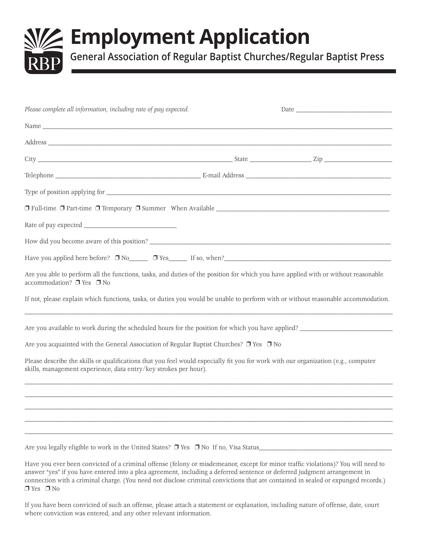# **Employment Application**

**General Association of Regular Baptist Churches/Regular Baptist Press**

| Please complete all information, including rate of pay expected.                                                                                                                                                                   |  |
|------------------------------------------------------------------------------------------------------------------------------------------------------------------------------------------------------------------------------------|--|
| Name                                                                                                                                                                                                                               |  |
|                                                                                                                                                                                                                                    |  |
|                                                                                                                                                                                                                                    |  |
|                                                                                                                                                                                                                                    |  |
|                                                                                                                                                                                                                                    |  |
|                                                                                                                                                                                                                                    |  |
|                                                                                                                                                                                                                                    |  |
|                                                                                                                                                                                                                                    |  |
|                                                                                                                                                                                                                                    |  |
| Are you able to perform all the functions, tasks, and duties of the position for which you have applied with or without reasonable<br>accommodation? □ Yes □ No                                                                    |  |
| If not, please explain which functions, tasks, or duties you would be unable to perform with or without reasonable accommodation.                                                                                                  |  |
| Are you available to work during the scheduled hours for the position for which you have applied?                                                                                                                                  |  |
| Are you acquainted with the General Association of Regular Baptist Churches? $\Box$ Yes $\Box$ No                                                                                                                                  |  |
| Please describe the skills or qualifications that you feel would especially fit you for work with our organization (e.g., computer<br>skills, management experience, data entry/key strokes per hour).                             |  |
|                                                                                                                                                                                                                                    |  |
|                                                                                                                                                                                                                                    |  |
|                                                                                                                                                                                                                                    |  |
|                                                                                                                                                                                                                                    |  |
| Are you legally eligible to work in the United States? $\Box$ Yes $\Box$ No If no, Visa Status<br>Have you ever been convicted of a criminal offense (felony or misdemeanor except for minor traffic violations)? You will need to |  |

Have you ever been convicted of a criminal offense (felony or misdemeanor, except for minor traffic violations)? You will need to answer "yes" if you have entered into a plea agreement, including a deferred sentence or deferred judgment arrangement in connection with a criminal charge. (You need not disclose criminal convictions that are contained in sealed or expunged records.)  $\n **Yes**\n **7** No$ 

If you have been convicted of such an offense, please attach a statement or explanation, including nature of offense, date, court where conviction was entered, and any other relevant information.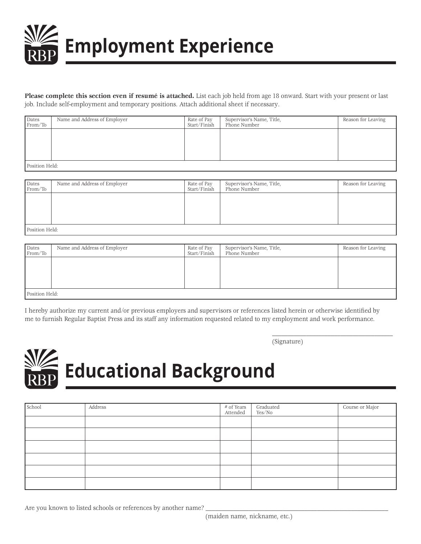

**Please complete this section even if resumé is attached.** List each job held from age 18 onward. Start with your present or last job. Include self-employment and temporary positions. Attach additional sheet if necessary.

| Dates<br>From/To | Name and Address of Employer | Rate of Pay<br>Start/Finish | Supervisor's Name, Title,<br>Phone Number | Reason for Leaving |
|------------------|------------------------------|-----------------------------|-------------------------------------------|--------------------|
|                  |                              |                             |                                           |                    |
|                  |                              |                             |                                           |                    |
|                  |                              |                             |                                           |                    |
| Position Held:   |                              |                             |                                           |                    |

Dates Name and Address of Employer Rate of Pay Supervisor's Name, Title, Reason for Leaving Reason for Leaving Reason for Leaving Reason for Leaving Reason for Leaving Reason for Leaving Reason for Leaving Reason for Leavi Phone Number Position Held:

| Dates<br>From/To | Name and Address of Employer | Rate of Pay<br>Start/Finish | Supervisor's Name, Title,<br>Phone Number | Reason for Leaving |
|------------------|------------------------------|-----------------------------|-------------------------------------------|--------------------|
|                  |                              |                             |                                           |                    |
|                  |                              |                             |                                           |                    |
|                  |                              |                             |                                           |                    |
| Position Held:   |                              |                             |                                           |                    |

I hereby authorize my current and/or previous employers and supervisors or references listed herein or otherwise identified by me to furnish Regular Baptist Press and its staff any information requested related to my employment and work performance.

> \_\_\_\_\_\_\_\_\_\_\_\_\_\_\_\_\_\_\_\_\_\_\_\_\_\_\_\_\_\_\_\_\_\_\_\_\_\_\_ (Signature)



| School | Address | # of Years<br>Attended | Graduated<br>Yes/No | Course or Major |
|--------|---------|------------------------|---------------------|-----------------|
|        |         |                        |                     |                 |
|        |         |                        |                     |                 |
|        |         |                        |                     |                 |
|        |         |                        |                     |                 |
|        |         |                        |                     |                 |
|        |         |                        |                     |                 |

Are you known to listed schools or references by another name?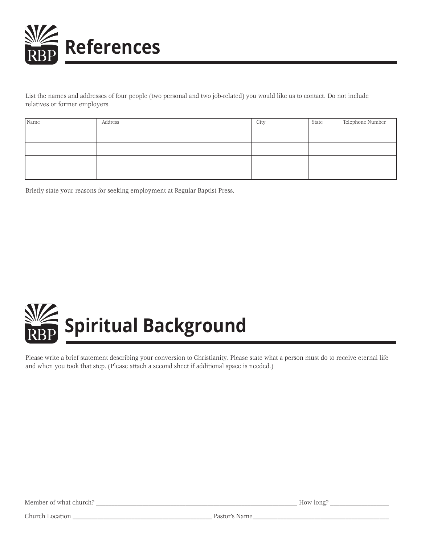

List the names and addresses of four people (two personal and two job-related) you would like us to contact. Do not include relatives or former employers.

| Name | Address | City | State | Telephone Number |
|------|---------|------|-------|------------------|
|      |         |      |       |                  |
|      |         |      |       |                  |
|      |         |      |       |                  |
|      |         |      |       |                  |

Briefly state your reasons for seeking employment at Regular Baptist Press.



Please write a brief statement describing your conversion to Christianity. Please state what a person must do to receive eternal life and when you took that step. (Please attach a second sheet if additional space is needed.)

Member of what church? \_\_\_\_\_\_\_\_\_\_\_\_\_\_\_\_\_\_\_\_\_\_\_\_\_\_\_\_\_\_\_\_\_\_\_\_\_\_\_\_\_\_\_\_\_\_\_\_\_\_\_\_\_\_\_\_\_\_\_\_\_\_\_\_\_ How long? \_\_\_\_\_\_\_\_\_\_\_\_\_\_\_\_\_\_\_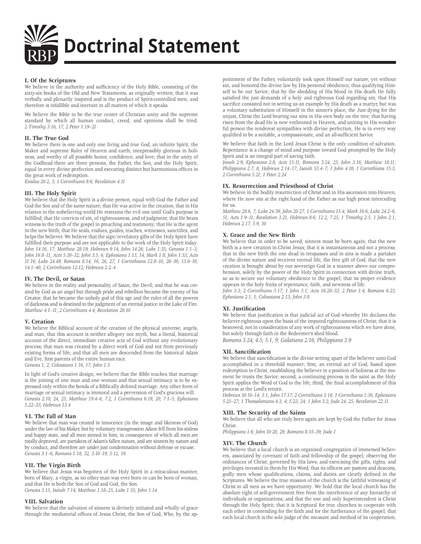

#### **I. Of the Scriptures**

We believe in the authority and sufficiency of the Holy Bible, consisting of the sixty-six books of the Old and New Testaments, as originally written; that it was verbally and plenarily inspired and is the product of Spirit-controlled men, and therefore is infallible and inerrant in all matters of which it speaks.

We believe the Bible to be the true center of Christian unity and the supreme standard by which all human conduct, creed, and opinions shall be tried. *2 Timothy 3:16, 17; 2 Peter 1:19–21*

#### **II. The True God**

We believe there is one and only one living and true God, an infinite Spirit, the Maker and supreme Ruler of Heaven and earth; inexpressibly glorious in holiness, and worthy of all possible honor, confidence, and love; that in the unity of the Godhead there are three persons, the Father, the Son, and the Holy Spirit, equal in every divine perfection and executing distinct but harmonious offices in the great work of redemption.

*Exodus 20:2, 3; 1 Corinthians 8:6; Revelation 4:11*

#### **III. The Holy Spirit**

We believe that the Holy Spirit is a divine person, equal with God the Father and God the Son and of the same nature; that He was active in the creation; that in His relation to the unbelieving world He restrains the evil one until God's purpose is fulfilled; that He convicts of sin, of righteousness, and of judgment; that He bears witness to the truth of the gospel in preaching and testimony; that He is the agent in the new birth; that He seals, endues, guides, teaches, witnesses, sanctifies, and helps the believer. We believe that the sign/revelatory gifts of the Holy Spirit have fulfilled their purpose and are not applicable to the work of the Holy Spirit today. *John 14:16, 17; Matthew 28:19; Hebrews 9:14; John 14:26; Luke 1:35; Genesis 1:1–3; John 16:8–11; Acts 5:30–32; John 3:5, 6; Ephesians 1:13, 14; Mark 1:8; John 1:33; Acts 11:16; Luke 24:49; Romans 8:14, 16, 26, 27; 1 Corinthians 12:8–10, 28–30; 13:8–10; 14:1–40; 2 Corinthians 12:12; Hebrews 2:2–4*

#### **IV. The Devil, or Satan**

We believe in the reality and personality of Satan, the Devil; and that he was created by God as an angel but through pride and rebellion became the enemy of his Creator; that he became the unholy god of this age and the ruler of all the powers of darkness and is destined to the judgment of an eternal justice in the Lake of Fire. *Matthew 4:1–11; 2 Corinthians 4:4; Revelation 20:10*

#### **V. Creation**

We believe the Biblical account of the creation of the physical universe, angels, and man; that this account is neither allegory nor myth, but a literal, historical account of the direct, immediate creative acts of God without any evolutionary process; that man was created by a direct work of God and not from previously existing forms of life; and that all men are descended from the historical Adam and Eve, first parents of the entire human race.

*Genesis 1; 2; Colossians 1:16, 17; John 1:3*

In light of God's creative design, we believe that the Bible teaches that marriage is the joining of one man and one woman and that sexual intimacy is to be expressed only within the bonds of a Biblically defined marriage. Any other form of marriage or sexual intimacy is immoral and a perversion of God's gracious will. *Genesis 2:18, 24, 25; Matthew 19:4–6; 7:2; 1 Corinthians 6:19, 20; 7:1–5; Ephesians 5:22–33; Hebrews 13:4*

#### **VI. The Fall of Man**

We believe that man was created in innocence (in the image and likeness of God) under the law of his Maker, but by voluntary transgression Adam fell from his sinless and happy state, and all men sinned in him, in consequence of which all men are totally depraved, are partakers of Adam's fallen nature, and are sinners by nature and by conduct, and therefore are under just condemnation without defense or excuse. *Genesis 3:1–6; Romans 1:18, 32; 3:10–19; 5:12, 19* 

#### **VII. The Virgin Birth**

We believe that Jesus was begotten of the Holy Spirit in a miraculous manner, born of Mary, a virgin, as no other man was ever born or can be born of woman, and that He is both the Son of God and God, the Son. *Genesis 3:15; Isaiah 7:14; Matthew 1:18–25; Luke 1:35; John 1:14*

#### **VIII. Salvation**

We believe that the salvation of sinners is divinely initiated and wholly of grace through the mediatorial offices of Jesus Christ, the Son of God, Who, by the appointment of the Father, voluntarily took upon Himself our nature, yet without sin, and honored the divine law by His personal obedience, thus qualifying Himself to be our Savior; that by the shedding of His blood in His death He fully satisfied the just demands of a holy and righteous God regarding sin; that His sacrifice consisted not in setting us an example by His death as a martyr, but was a voluntary substitution of Himself in the sinner's place, the Just dying for the unjust, Christ the Lord bearing our sins in His own body on the tree; that having risen from the dead He is now enthroned in Heaven, and uniting in His wonderful person the tenderest sympathies with divine perfection, He is in every way qualified to be a suitable, a compassionate, and an all-sufficient Savior.

We believe that faith in the Lord Jesus Christ is the only condition of salvation. Repentance is a change of mind and purpose toward God prompted by the Holy Spirit and is an integral part of saving faith.

*Jonah 2:9; Ephesians 2:8; Acts 15:11; Romans 3:24, 25; John 3:16; Matthew 18:11; Philippians 2:7, 8; Hebrews 2:14–17; Isaiah 53:4–7; 1 John 4:10; 1 Corinthians 15:3; 2 Corinthians 5:21; 1 Peter 2:24*

#### **IX. Resurrection and Priesthood of Christ**

We believe in the bodily resurrection of Christ and in His ascension into Heaven, where He now sits at the right hand of the Father as our high priest interceding for us.

*Matthew 28:6, 7; Luke 24:39; John 20:27; 1 Corinthians 15:4; Mark 16:6; Luke 24:2–6, 51; Acts 1:9–11; Revelation 3:21; Hebrews 8:6; 12:2; 7:25; 1 Timothy 2:5; 1 John 2:1; Hebrews 2:17; 5:9, 10*

#### **X. Grace and the New Birth**

We believe that in order to be saved, sinners must be born again; that the new birth is a new creation in Christ Jesus; that it is instantaneous and not a process; that in the new birth the one dead in trespasses and in sins is made a partaker of the divine nature and receives eternal life, the free gift of God; that the new creation is brought about by our sovereign God in a manner above our comprehension, solely by the power of the Holy Spirit in connection with divine truth, so as to secure our voluntary obedience to the gospel; that its proper evidence appears in the holy fruits of repentance, faith, and newness of life.

*John 3:3; 2 Corinthians 5:17; 1 John 5:1; Acts 16:20–33; 2 Peter 1:4; Romans 6:23; Ephesians 2:1, 5; Colossians 2:13; John 3:8*

#### **XI. Justification**

We believe that justification is that judicial act of God whereby He declares the believer righteous upon the basis of the imputed righteousness of Christ; that it is bestowed, not in consideration of any work of righteousness which we have done, but solely through faith in the Redeemer's shed blood.

*Romans 3:24; 4:5; 5:1, 9; Galatians 2:16; Philippians 3:9*

#### **XII. Sanctification**

We believe that sanctification is the divine setting apart of the believer unto God accomplished in a threefold manner; first, an eternal act of God, based upon redemption in Christ, establishing the believer in a position of holiness at the moment he trusts the Savior; second, a continuing process in the saint as the Holy Spirit applies the Word of God to the life; third, the final accomplishment of this process at the Lord's return.

*Hebrews 10:10–14; 3:1; John 17:17; 2 Corinthians 3:18; 1 Corinthians 1:30; Ephesians 5:25–27; 1 Thessalonians 4:3, 4; 5:23, 24; 1 John 3:2; Jude 24, 25; Revelation 22:11*

#### **XIII. The Security of the Saints**

We believe that all who are truly born again are kept by God the Father for Jesus Christ.

*Philippians 1:6; John 10:28, 29; Romans 8:35–39; Jude 1*

#### **XIV. The Church**

We believe that a local church is an organized congregation of immersed believers, associated by covenant of faith and fellowship of the gospel; observing the ordinances of Christ; governed by His laws; and exercising the gifts, rights, and privileges invested in them by His Word; that its officers are pastors and deacons, godly men whose qualifications, claims, and duties are clearly defined in the Scriptures. We believe the true mission of the church is the faithful witnessing of Christ to all men as we have opportunity. We hold that the local church has the absolute right of self-government free from the interference of any hierarchy of individuals or organizations; and that the one and only Superintendent is Christ through the Holy Spirit; that it is Scriptural for true churches to cooperate with each other in contending for the faith and for the furtherance of the gospel; that each local church is the sole judge of the measure and method of its cooperation;